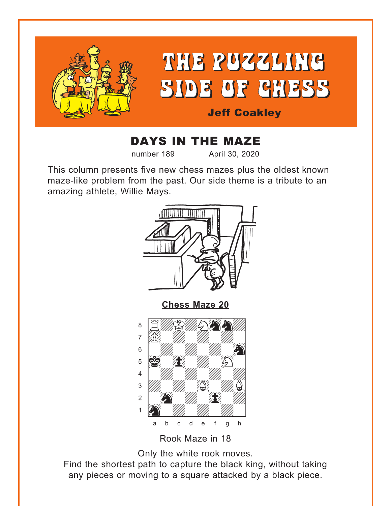<span id="page-0-0"></span>

# DAYS IN THE MAZE

number 189 April 30, 2020

This column presents five new chess mazes plus the oldest known maze-like problem from the past. Our side theme is a tribute to an amazing athlete, Willie Mays.



Rook Maze in 18

Only the white rook moves.

Find the shortest path to capture the black king, without taking any pieces or moving to a square attacked by a black piece.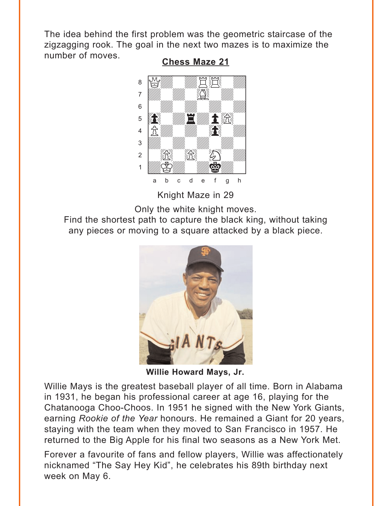<span id="page-1-0"></span>The idea behind the first problem was the geometric staircase of the zigzagging rook. The goal in the next two mazes is to maximize the number of moves. **Chess Maze 21** 



Knight Maze in 29

Only the white knight moves.

Find the shortest path to capture the black king, without taking any pieces or moving to a square attacked by a black piece.



Willie Howard Mays, Jr.

Willie Mays is the greatest baseball player of all time. Born in Alabama in 1931, he began his professional career at age 16, playing for the Chatanooga Choo-Choos. In 1951 he signed with the New York Giants, earning Rookie of the Year honours. He remained a Giant for 20 years, staying with the team when they moved to San Francisco in 1957. He returned to the Big Apple for his final two seasons as a New York Met.

Forever a favourite of fans and fellow players, Willie was affectionately nicknamed "The Say Hey Kid", he celebrates his 89th birthday next week on May 6.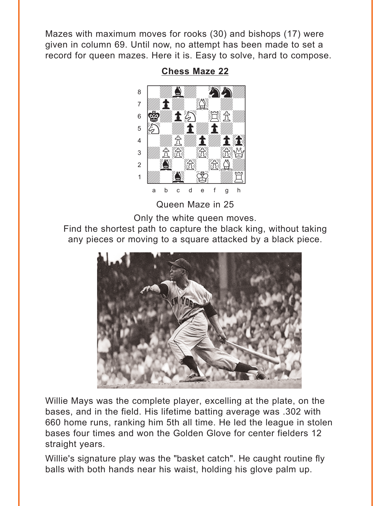<span id="page-2-0"></span>Mazes with maximum moves for rooks (30) and bishops (17) were given in column 69. Until now, no attempt has been made to set a record for queen mazes. Here it is. Easy to solve, hard to compose.

> áwdbdwhnd]  $\overline{a}$  and  $\overline{a}$  and  $\overline{a}$  and  $\overline{a}$  and  $\overline{a}$  $\mathfrak{g}$   $\mathfrak{g}$  , the point  $\mathfrak{g}$  $\mathbf{E}$   $\mathbf{E}$   $\mathbf{E}$   $\mathbf{E}$   $\mathbf{E}$   $\mathbf{E}$   $\mathbf{E}$   $\mathbf{E}$   $\mathbf{E}$   $\mathbf{E}$   $\mathbf{E}$   $\mathbf{E}$   $\mathbf{E}$   $\mathbf{E}$   $\mathbf{E}$   $\mathbf{E}$   $\mathbf{E}$   $\mathbf{E}$   $\mathbf{E}$   $\mathbf{E}$   $\mathbf{E}$   $\mathbf{E}$   $\mathbf{E}$   $\mathbf{E}$   $\mathbf{$  $\mathbf{f}$   $\mathbf{f}$ 3 *Willi* R<sup>2</sup>iRi Ri  $\sim$   $\sim$   $\sim$   $\sim$   $\sim$  $\frac{1}{2}$   $\frac{1}{2}$   $\frac{1}{2}$   $\frac{1}{2}$   $\frac{1}{2}$ a b c d e f g h

> > Queen Maze in 25

Only the white queen moves.

Find the shortest path to capture the black king, without taking any pieces or moving to a square attacked by a black piece.



Willie Mays was the complete player, excelling at the plate, on the bases, and in the field. His lifetime batting average was .302 with 660 home runs, ranking him 5th all time. He led the league in stolen bases four times and won the Golden Glove for center fielders 12 straight years.

Willie's signature play was the "basket catch". He caught routine fly balls with both hands near his waist, holding his glove palm up.

**[Chess Maze 22](#page-8-0)** <u>was considered</u>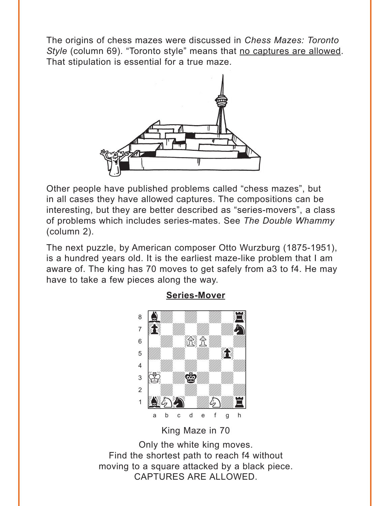<span id="page-3-0"></span>The origins of chess mazes were discussed in *Chess Mazes: Toronto Style* (column 69). "Toronto style" means that no captures are allowed. That stipulation is essential for a true maze.



Other people have published problems called "chess mazes", but in all cases they have allowed captures. The compositions can be interesting, but they are better described as "series-movers", a class of problems which includes series-mates. See *The Double Whammy* (column 2).

The next puzzle, by American composer Otto Wurzburg (1875-1951), is a hundred years old. It is the earliest maze-like problem that I am aware of. The king has 70 moves to get safely from a3 to f4. He may have to take a few pieces along the way.



**[Series-Mover](#page-9-0)**

King Maze in 70

Only the white king moves. Find the shortest path to reach f4 without moving to a square attacked by a black piece. CAPTURES ARE ALLOWED.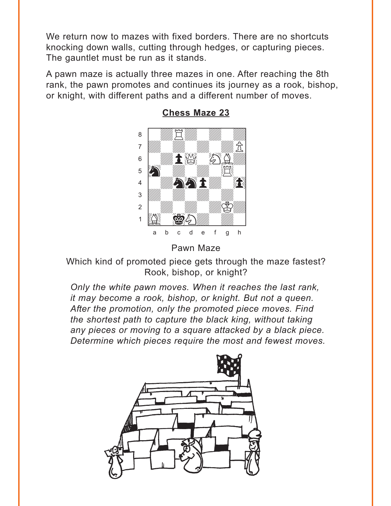<span id="page-4-0"></span>We return now to mazes with fixed borders. There are no shortcuts knocking down walls, cutting through hedges, or capturing pieces. The gauntlet must be run as it stands.

A pawn maze is actually three mazes in one. After reaching the 8th rank, the pawn promotes and continues its journey as a rook, bishop, or knight, with different paths and a different number of moves.



**[Chess Maze 23](#page-11-0)**

Which kind of promoted piece gets through the maze fastest? Rook, bishop, or knight?

*Only the white pawn moves. When it reaches the last rank, it may become a rook, bishop, or knight. But not a queen. After the promotion, only the promoted piece moves. Find the shortest path to capture the black king, without taking any pieces or moving to a square attacked by a black piece. Determine which pieces require the most and fewest moves.*



Pawn Maze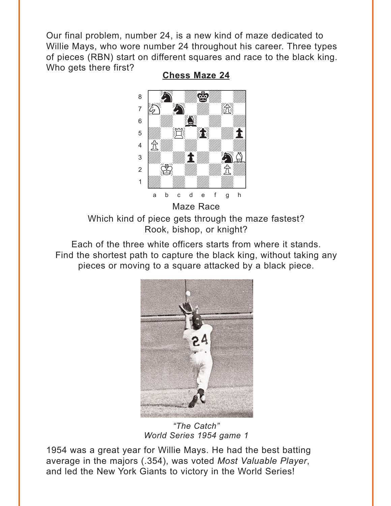<span id="page-5-0"></span>Our final problem, number 24, is a new kind of maze dedicated to Willie Mays, who wore number 24 throughout his career. Three types of pieces (RBN) start on different squares and race to the black king. Who gets there first? **[Chess Maze 24](#page-12-0)**



Which kind of piece gets through the maze fastest? Rook, bishop, or knight?

Each of the three white officers starts from where it stands. Find the shortest path to capture the black king, without taking any pieces or moving to a square attacked by a black piece.



*"The Catch" World Series 1954 game 1*

1954 was a great year for Willie Mays. He had the best batting average in the majors (.354), was voted *Most Valuable Player*, and led the New York Giants to victory in the World Series!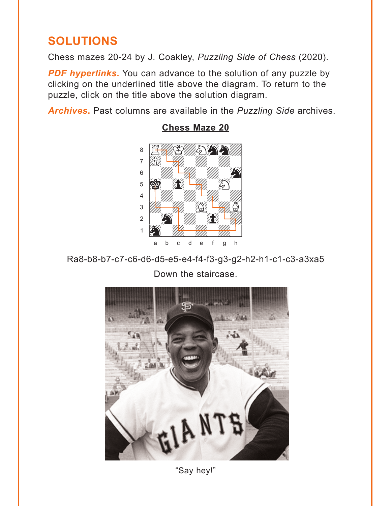# <span id="page-6-0"></span>**SOLUTIONS**

Chess mazes 20-24 by J. Coakley, Puzzling Side of Chess (2020).

**PDF hyperlinks.** You can advance to the solution of any puzzle by clicking on the underlined title above the diagram. To return to the puzzle, click on the title above the solution diagram.

Archives. Past columns are available in the Puzzling Side archives.



## **Chess Maze 20**

Ra8-b8-b7-c7-c6-d6-d5-e5-e4-f4-f3-g3-g2-h2-h1-c1-c3-a3xa5 Down the staircase.



"Say hey!"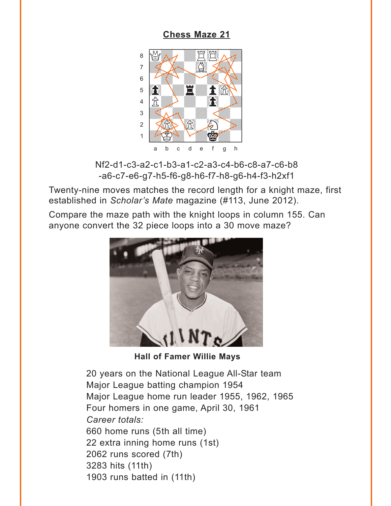# <span id="page-7-0"></span>with the set of the set of the set of the set of the set of the set of the set of the set of the set of the set of the set of the set of the set of the set of the set of the set of the set of the set of the set of the set  $\alpha$  and  $\alpha$  and  $\alpha$ adway a shi wadan wasan wasan ƙwallon ƙafa ta ƙasar Ingila. 6 | Children William Children 5 **brown E was to a sex and the sex and the sex and the sex and the sex and the sex and the sex and**  $\left|\mathbb{R}\right|\ll 1$ 3 **Uda Shi**li <sup>Ud</sup>din 2000  $2$   $\frac{1}{2}$   $\frac{1}{2}$   $\frac{1}{2}$   $\frac{1}{2}$  $\frac{1}{\sqrt{2}}$ a b c d e f g h

**[Chess Maze 21](#page-1-0)**

Nf2-d1-c3-a2-c1-b3-a1-c2-a3-c4-b6-c8-a7-c6-b8 -a6-c7-e6-g7-h5-f6-g8-h6-f7-h8-g6-h4-f3-h2xf1

Twenty-nine moves matches the record length for a knight maze, first established in *Scholar's Mate* magazine (#113, June 2012).

Compare the maze path with the knight loops in column 155. Can anyone convert the 32 piece loops into a 30 move maze?



**Hall of Famer Willie Mays**

20 years on the National League All-Star team Major League batting champion 1954 Major League home run leader 1955, 1962, 1965 Four homers in one game, April 30, 1961 *Career totals:* 660 home runs (5th all time) 22 extra inning home runs (1st) 2062 runs scored (7th) 3283 hits (11th) 1903 runs batted in (11th)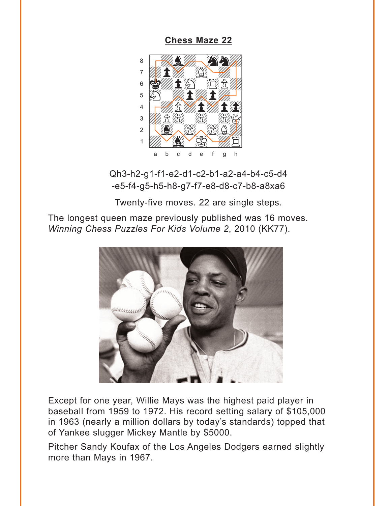<span id="page-8-0"></span>**[Chess Maze 22](#page-2-0)**



Qh3-h2-g1-f1-e2-d1-c2-b1-a2-a4-b4-c5-d4 -e5-f4-g5-h5-h8-g7-f7-e8-d8-c7-b8-a8xa6

Twenty-five moves. 22 are single steps.

The longest queen maze previously published was 16 moves. *Winning Chess Puzzles For Kids Volume 2*, 2010 (KK77).



Except for one year, Willie Mays was the highest paid player in baseball from 1959 to 1972. His record setting salary of \$105,000 in 1963 (nearly a million dollars by today's standards) topped that of Yankee slugger Mickey Mantle by \$5000.

Pitcher Sandy Koufax of the Los Angeles Dodgers earned slightly more than Mays in 1967.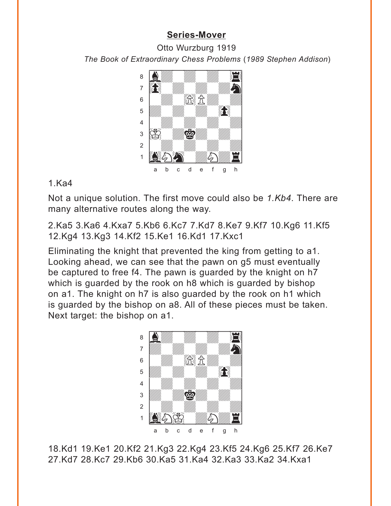## **[Series-Mover](#page-3-0)**

<span id="page-9-0"></span>Otto Wurzburg 1919 *The Book of Extraordinary Chess Problems* (*1989 Stephen Addison*) w\_\_\_\_\_\_\_\_w



#### 1.Ka4

Not a unique solution. The first move could also be *1.Kb4*. There are many alternative routes along the way.

2.Ka5 3.Ka6 4.Kxa7 5.Kb6 6.Kc7 7.Kd7 8.Ke7 9.Kf7 10.Kg6 11.Kf5 12.Kg4 13.Kg3 14.Kf2 15.Ke1 16.Kd1 17.Kxc1

Eliminating the knight that prevented the king from getting to a1. Looking ahead, we can see that the pawn on g5 must eventually be captured to free f4. The pawn is guarded by the knight on h7 which is guarded by the rook on h8 which is guarded by bishop on a1. The knight on h7 is also guarded by the rook on h1 which is guarded by the bishop on a8. All of these pieces must be taken. Next target: the bishop on a1.



18.Kd1 19.Ke1 20.Kf2 21.Kg3 22.Kg4 23.Kf5 24.Kg6 25.Kf7 26.Ke7 27.Kd7 28.Kc7 29.Kb6 30.Ka5 31.Ka4 32.Ka3 33.Ka2 34.Kxa1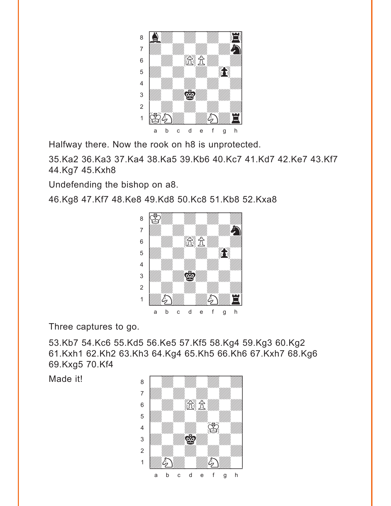

Halfway there. Now the rook on h8 is unprotected.

35.Ka2 36.Ka3 37.Ka4 38.Ka5 39.Kb6 40.Kc7 41.Kd7 42.Ke7 43.Kf7 44.Kg7 45.Kxh8

Undefending the bishop on a8.

46.Kg8 47.Kf7 48.Ke8 49.Kd8 50.Kc8 51.Kb8 52.Kxa8



Three captures to go.

53.Kb7 54.Kc6 55.Kd5 56.Ke5 57.Kf5 58.Kg4 59.Kg3 60.Kg2 61.Kxh1 62.Kh2 63.Kh3 64.Kg4 65.Kh5 66.Kh6 67.Kxh7 68.Kg6 69.Kxg5 70.Kf4

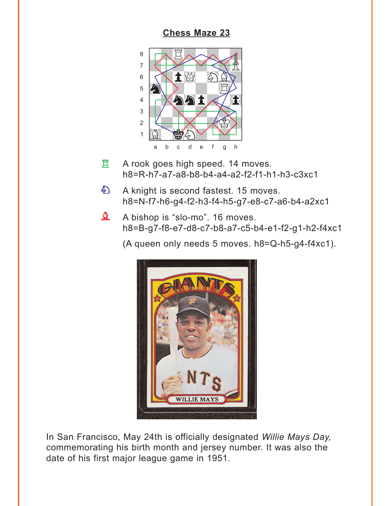### **[Chess Maze 23](#page-4-0)**

<span id="page-11-0"></span>

- A rook goes high speed. 14 moves. h8=R-h7-a7-a8-b8-b4-a4-a2-f2-f1-h1-h3-c3xc1 R
- A knight is second fastest. 15 moves. h8=N-f7-h6-g4-f2-h3-f4-h5-g7-e8-c7-a6-b4-a2xc1  $\mathcal{L}$
- A bishop is "slo-mo". 16 moves. h8=B-g7-f8-e7-d8-c7-b8-a7-c5-b4-e1-f2-g1-h2-f4xc1  $\mathbf{D}$

(A queen only needs 5 moves. h8=Q-h5-g4-f4xc1).



In San Francisco, May 24th is officially designated *Willie Mays Day,* commemorating his birth month and jersey number. It was also the date of his first major league game in 1951.